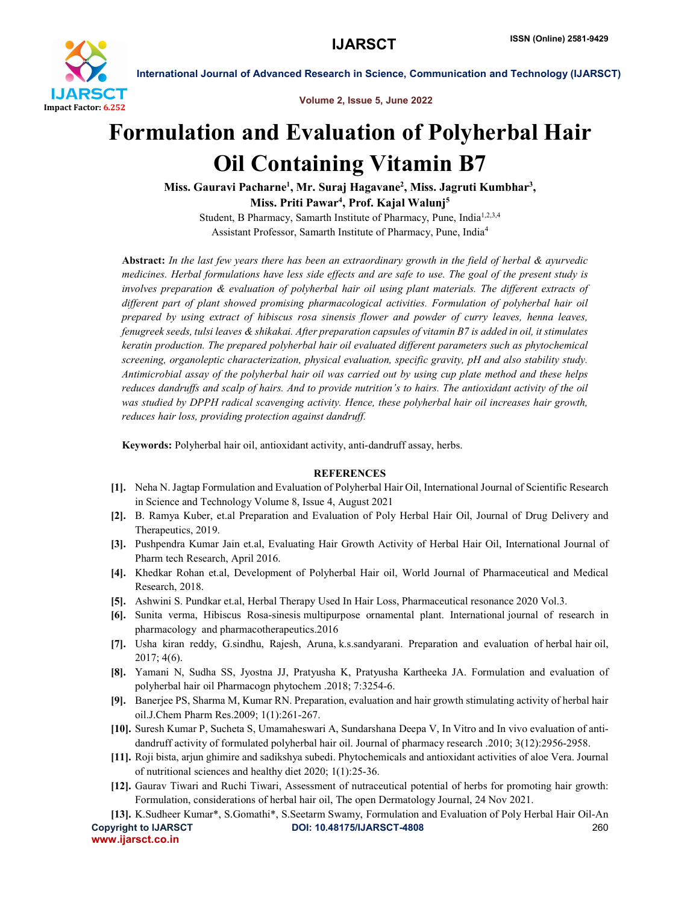

International Journal of Advanced Research in Science, Communication and Technology (IJARSCT)

Volume 2, Issue 5, June 2022

# Formulation and Evaluation of Polyherbal Hair Oil Containing Vitamin B7

Miss. Gauravi Pacharne<sup>1</sup>, Mr. Suraj Hagavane<sup>2</sup>, Miss. Jagruti Kumbhar<sup>3</sup>, Miss. Priti Pawar<sup>4</sup>, Prof. Kajal Walunj<sup>5</sup>

Student, B Pharmacy, Samarth Institute of Pharmacy, Pune, India<sup>1,2,3,4</sup> Assistant Professor, Samarth Institute of Pharmacy, Pune, India4

Abstract: *In the last few years there has been an extraordinary growth in the field of herbal & ayurvedic medicines. Herbal formulations have less side effects and are safe to use. The goal of the present study is involves preparation & evaluation of polyherbal hair oil using plant materials. The different extracts of different part of plant showed promising pharmacological activities. Formulation of polyherbal hair oil prepared by using extract of hibiscus rosa sinensis flower and powder of curry leaves, henna leaves, fenugreek seeds, tulsi leaves & shikakai. After preparation capsules of vitamin B7 is added in oil, it stimulates keratin production. The prepared polyherbal hair oil evaluated different parameters such as phytochemical screening, organoleptic characterization, physical evaluation, specific gravity, pH and also stability study. Antimicrobial assay of the polyherbal hair oil was carried out by using cup plate method and these helps reduces dandruffs and scalp of hairs. And to provide nutrition's to hairs. The antioxidant activity of the oil was studied by DPPH radical scavenging activity. Hence, these polyherbal hair oil increases hair growth, reduces hair loss, providing protection against dandruff.*

Keywords: Polyherbal hair oil, antioxidant activity, anti-dandruff assay, herbs.

### **REFERENCES**

- [1]. Neha N. Jagtap Formulation and Evaluation of Polyherbal Hair Oil, International Journal of Scientific Research in Science and Technology Volume 8, Issue 4, August 2021
- [2]. B. Ramya Kuber, et.al Preparation and Evaluation of Poly Herbal Hair Oil, Journal of Drug Delivery and Therapeutics, 2019.
- [3]. Pushpendra Kumar Jain et.al, Evaluating Hair Growth Activity of Herbal Hair Oil, International Journal of Pharm tech Research, April 2016.
- [4]. Khedkar Rohan et.al, Development of Polyherbal Hair oil, World Journal of Pharmaceutical and Medical Research, 2018.
- [5]. Ashwini S. Pundkar et.al, Herbal Therapy Used In Hair Loss, Pharmaceutical resonance 2020 Vol.3.
- [6]. Sunita verma, Hibiscus Rosa-sinesis multipurpose ornamental plant. International journal of research in pharmacology and pharmacotherapeutics.2016
- [7]. Usha kiran reddy, G.sindhu, Rajesh, Aruna, k.s.sandyarani. Preparation and evaluation of herbal hair oil, 2017; 4(6).
- [8]. Yamani N, Sudha SS, Jyostna JJ, Pratyusha K, Pratyusha Kartheeka JA. Formulation and evaluation of polyherbal hair oil Pharmacogn phytochem .2018; 7:3254-6.
- [9]. Banerjee PS, Sharma M, Kumar RN. Preparation, evaluation and hair growth stimulating activity of herbal hair oil.J.Chem Pharm Res.2009; 1(1):261-267.
- [10]. Suresh Kumar P, Sucheta S, Umamaheswari A, Sundarshana Deepa V, In Vitro and In vivo evaluation of antidandruff activity of formulated polyherbal hair oil. Journal of pharmacy research .2010; 3(12):2956-2958.
- [11]. Roji bista, arjun ghimire and sadikshya subedi. Phytochemicals and antioxidant activities of aloe Vera. Journal of nutritional sciences and healthy diet 2020; 1(1):25-36.
- [12]. Gaurav Tiwari and Ruchi Tiwari, Assessment of nutraceutical potential of herbs for promoting hair growth: Formulation, considerations of herbal hair oil, The open Dermatology Journal, 24 Nov 2021.

Copyright to IJARSCT **DOI: 10.48175/IJARSCT-4808** 260 www.ijarsct.co.in [13]. K.Sudheer Kumar\*, S.Gomathi\*, S.Seetarm Swamy, Formulation and Evaluation of Poly Herbal Hair Oil-An